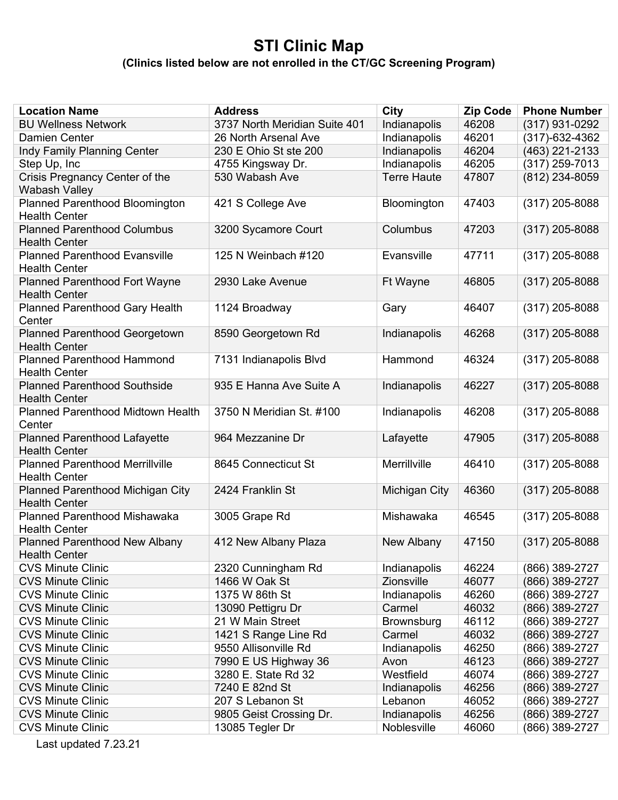## **STI Clinic Map**

**(Clinics listed below are not enrolled in the CT/GC Screening Program)**

| <b>Location Name</b>                                         | <b>Address</b>                | City                 | <b>Zip Code</b> | <b>Phone Number</b> |
|--------------------------------------------------------------|-------------------------------|----------------------|-----------------|---------------------|
| <b>BU Wellness Network</b>                                   | 3737 North Meridian Suite 401 | Indianapolis         | 46208           | (317) 931-0292      |
| <b>Damien Center</b>                                         | 26 North Arsenal Ave          | Indianapolis         | 46201           | (317)-632-4362      |
| Indy Family Planning Center                                  | 230 E Ohio St ste 200         | Indianapolis         | 46204           | (463) 221-2133      |
| Step Up, Inc                                                 | 4755 Kingsway Dr.             | Indianapolis         | 46205           | (317) 259-7013      |
| Crisis Pregnancy Center of the                               | 530 Wabash Ave                | <b>Terre Haute</b>   | 47807           | (812) 234-8059      |
| <b>Wabash Valley</b>                                         |                               |                      |                 |                     |
| <b>Planned Parenthood Bloomington</b>                        | 421 S College Ave             | Bloomington          | 47403           | (317) 205-8088      |
| <b>Health Center</b>                                         |                               |                      |                 |                     |
| <b>Planned Parenthood Columbus</b>                           | 3200 Sycamore Court           | Columbus             | 47203           | $(317)$ 205-8088    |
| <b>Health Center</b>                                         |                               |                      |                 |                     |
| <b>Planned Parenthood Evansville</b>                         | 125 N Weinbach #120           | Evansville           | 47711           | (317) 205-8088      |
| <b>Health Center</b>                                         |                               |                      |                 |                     |
| <b>Planned Parenthood Fort Wayne</b>                         | 2930 Lake Avenue              | Ft Wayne             | 46805           | $(317)$ 205-8088    |
| <b>Health Center</b>                                         |                               |                      |                 |                     |
| <b>Planned Parenthood Gary Health</b>                        | 1124 Broadway                 | Gary                 | 46407           | $(317)$ 205-8088    |
| Center<br><b>Planned Parenthood Georgetown</b>               |                               | Indianapolis         | 46268           | (317) 205-8088      |
| <b>Health Center</b>                                         | 8590 Georgetown Rd            |                      |                 |                     |
| <b>Planned Parenthood Hammond</b>                            | 7131 Indianapolis Blvd        | Hammond              | 46324           | (317) 205-8088      |
| <b>Health Center</b>                                         |                               |                      |                 |                     |
| <b>Planned Parenthood Southside</b>                          | 935 E Hanna Ave Suite A       | Indianapolis         | 46227           | $(317)$ 205-8088    |
| <b>Health Center</b>                                         |                               |                      |                 |                     |
| Planned Parenthood Midtown Health                            | 3750 N Meridian St. #100      | Indianapolis         | 46208           | $(317)$ 205-8088    |
| Center                                                       |                               |                      |                 |                     |
| <b>Planned Parenthood Lafayette</b>                          | 964 Mezzanine Dr              | Lafayette            | 47905           | $(317)$ 205-8088    |
| <b>Health Center</b>                                         |                               |                      |                 |                     |
| <b>Planned Parenthood Merrillville</b>                       | 8645 Connecticut St           | Merrillville         | 46410           | (317) 205-8088      |
| <b>Health Center</b>                                         |                               |                      |                 |                     |
| Planned Parenthood Michigan City                             | 2424 Franklin St              | <b>Michigan City</b> | 46360           | $(317)$ 205-8088    |
| <b>Health Center</b>                                         |                               |                      |                 |                     |
| Planned Parenthood Mishawaka                                 | 3005 Grape Rd                 | Mishawaka            | 46545           | (317) 205-8088      |
| <b>Health Center</b>                                         |                               |                      |                 |                     |
| <b>Planned Parenthood New Albany</b><br><b>Health Center</b> | 412 New Albany Plaza          | New Albany           | 47150           | $(317)$ 205-8088    |
| <b>CVS Minute Clinic</b>                                     | 2320 Cunningham Rd            | Indianapolis         | 46224           | (866) 389-2727      |
| <b>CVS Minute Clinic</b>                                     | 1466 W Oak St                 | <b>Zionsville</b>    | 46077           | (866) 389-2727      |
| <b>CVS Minute Clinic</b>                                     | 1375 W 86th St                | Indianapolis         | 46260           | (866) 389-2727      |
| <b>CVS Minute Clinic</b>                                     | 13090 Pettigru Dr             | Carmel               | 46032           | (866) 389-2727      |
| <b>CVS Minute Clinic</b>                                     | 21 W Main Street              | <b>Brownsburg</b>    | 46112           | (866) 389-2727      |
| <b>CVS Minute Clinic</b>                                     | 1421 S Range Line Rd          | Carmel               | 46032           | (866) 389-2727      |
| <b>CVS Minute Clinic</b>                                     | 9550 Allisonville Rd          | Indianapolis         | 46250           | (866) 389-2727      |
| <b>CVS Minute Clinic</b>                                     | 7990 E US Highway 36          | Avon                 | 46123           | (866) 389-2727      |
| <b>CVS Minute Clinic</b>                                     | 3280 E. State Rd 32           | Westfield            | 46074           | (866) 389-2727      |
| <b>CVS Minute Clinic</b>                                     | 7240 E 82nd St                | Indianapolis         | 46256           | (866) 389-2727      |
| <b>CVS Minute Clinic</b>                                     | 207 S Lebanon St              | Lebanon              | 46052           | (866) 389-2727      |
| <b>CVS Minute Clinic</b>                                     | 9805 Geist Crossing Dr.       | Indianapolis         | 46256           | (866) 389-2727      |
| <b>CVS Minute Clinic</b>                                     | 13085 Tegler Dr               | Noblesville          | 46060           | (866) 389-2727      |

Last updated 7.23.21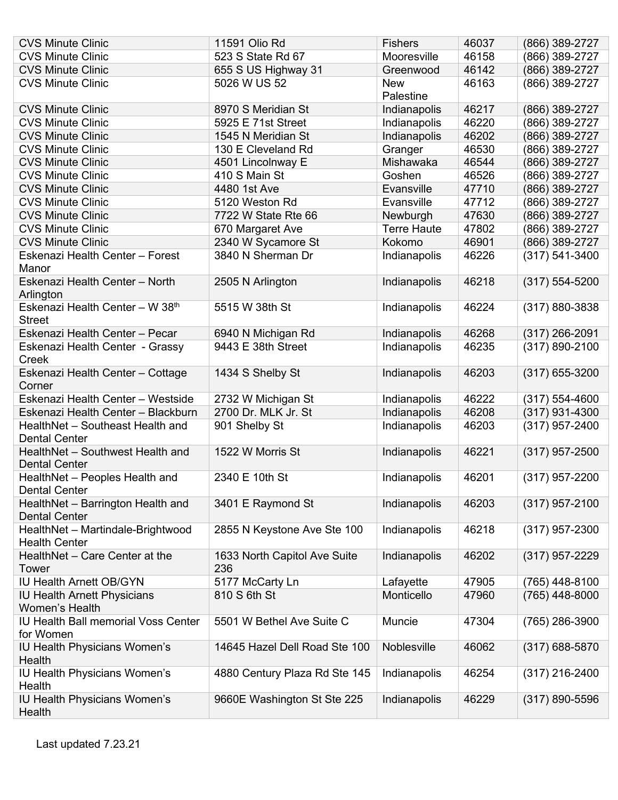| <b>CVS Minute Clinic</b>                                  | 11591 Olio Rd                       | <b>Fishers</b>     | 46037 | (866) 389-2727     |
|-----------------------------------------------------------|-------------------------------------|--------------------|-------|--------------------|
| <b>CVS Minute Clinic</b>                                  | 523 S State Rd 67                   | Mooresville        | 46158 | (866) 389-2727     |
| <b>CVS Minute Clinic</b>                                  | 655 S US Highway 31                 | Greenwood          | 46142 | (866) 389-2727     |
| <b>CVS Minute Clinic</b>                                  | 5026 W US 52                        | <b>New</b>         | 46163 | (866) 389-2727     |
|                                                           |                                     | Palestine          |       |                    |
| <b>CVS Minute Clinic</b>                                  | 8970 S Meridian St                  | Indianapolis       | 46217 | (866) 389-2727     |
| <b>CVS Minute Clinic</b>                                  | 5925 E 71st Street                  | Indianapolis       | 46220 | (866) 389-2727     |
| <b>CVS Minute Clinic</b>                                  | 1545 N Meridian St                  | Indianapolis       | 46202 | (866) 389-2727     |
| <b>CVS Minute Clinic</b>                                  | 130 E Cleveland Rd                  | Granger            | 46530 | (866) 389-2727     |
| <b>CVS Minute Clinic</b>                                  | 4501 Lincolnway E                   | Mishawaka          | 46544 | (866) 389-2727     |
| <b>CVS Minute Clinic</b>                                  | 410 S Main St                       | Goshen             | 46526 | (866) 389-2727     |
| <b>CVS Minute Clinic</b>                                  | 4480 1st Ave                        | Evansville         | 47710 | (866) 389-2727     |
| <b>CVS Minute Clinic</b>                                  | 5120 Weston Rd                      | Evansville         | 47712 | (866) 389-2727     |
| <b>CVS Minute Clinic</b>                                  | 7722 W State Rte 66                 | Newburgh           | 47630 | (866) 389-2727     |
| <b>CVS Minute Clinic</b>                                  | 670 Margaret Ave                    | <b>Terre Haute</b> | 47802 | (866) 389-2727     |
| <b>CVS Minute Clinic</b>                                  | 2340 W Sycamore St                  | Kokomo             | 46901 | (866) 389-2727     |
| Eskenazi Health Center - Forest                           | 3840 N Sherman Dr                   | Indianapolis       | 46226 | $(317) 541 - 3400$ |
| Manor                                                     |                                     |                    |       |                    |
| Eskenazi Health Center - North<br>Arlington               | 2505 N Arlington                    | Indianapolis       | 46218 | (317) 554-5200     |
| Eskenazi Health Center - W 38th<br><b>Street</b>          | 5515 W 38th St                      | Indianapolis       | 46224 | $(317) 880 - 3838$ |
| Eskenazi Health Center - Pecar                            | 6940 N Michigan Rd                  | Indianapolis       | 46268 | (317) 266-2091     |
| Eskenazi Health Center - Grassy                           | 9443 E 38th Street                  | Indianapolis       | 46235 | $(317) 890 - 2100$ |
| Creek<br>Eskenazi Health Center - Cottage                 | 1434 S Shelby St                    | Indianapolis       | 46203 | $(317)$ 655-3200   |
| Corner                                                    |                                     |                    |       |                    |
| Eskenazi Health Center - Westside                         | 2732 W Michigan St                  | Indianapolis       | 46222 | (317) 554-4600     |
| Eskenazi Health Center - Blackburn                        | 2700 Dr. MLK Jr. St                 | Indianapolis       | 46208 | $(317)$ 931-4300   |
| HealthNet - Southeast Health and                          | 901 Shelby St                       | Indianapolis       | 46203 | $(317)$ 957-2400   |
| <b>Dental Center</b>                                      |                                     |                    |       |                    |
| HealthNet - Southwest Health and<br><b>Dental Center</b>  | 1522 W Morris St                    | Indianapolis       | 46221 | $(317)$ 957-2500   |
| HealthNet - Peoples Health and<br>Dental Center           | 2340 E 10th St                      | Indianapolis       | 46201 | $(317)$ 957-2200   |
| HealthNet - Barrington Health and<br><b>Dental Center</b> | 3401 E Raymond St                   | Indianapolis       | 46203 | $(317)$ 957-2100   |
| HealthNet - Martindale-Brightwood<br><b>Health Center</b> | 2855 N Keystone Ave Ste 100         | Indianapolis       | 46218 | $(317)$ 957-2300   |
| HealthNet - Care Center at the<br>Tower                   | 1633 North Capitol Ave Suite<br>236 | Indianapolis       | 46202 | $(317)$ 957-2229   |
| <b>IU Health Arnett OB/GYN</b>                            | 5177 McCarty Ln                     | Lafayette          | 47905 | (765) 448-8100     |
| <b>IU Health Arnett Physicians</b>                        | 810 S 6th St                        | Monticello         | 47960 | (765) 448-8000     |
| <b>Women's Health</b>                                     |                                     |                    |       |                    |
| IU Health Ball memorial Voss Center                       | 5501 W Bethel Ave Suite C           | Muncie             | 47304 | (765) 286-3900     |
| for Women                                                 |                                     |                    |       |                    |
| <b>IU Health Physicians Women's</b>                       | 14645 Hazel Dell Road Ste 100       | Noblesville        | 46062 | $(317)$ 688-5870   |
| Health                                                    |                                     |                    |       |                    |
| <b>IU Health Physicians Women's</b><br>Health             | 4880 Century Plaza Rd Ste 145       | Indianapolis       | 46254 | $(317)$ 216-2400   |
| <b>IU Health Physicians Women's</b>                       | 9660E Washington St Ste 225         | Indianapolis       | 46229 | $(317) 890 - 5596$ |
| Health                                                    |                                     |                    |       |                    |